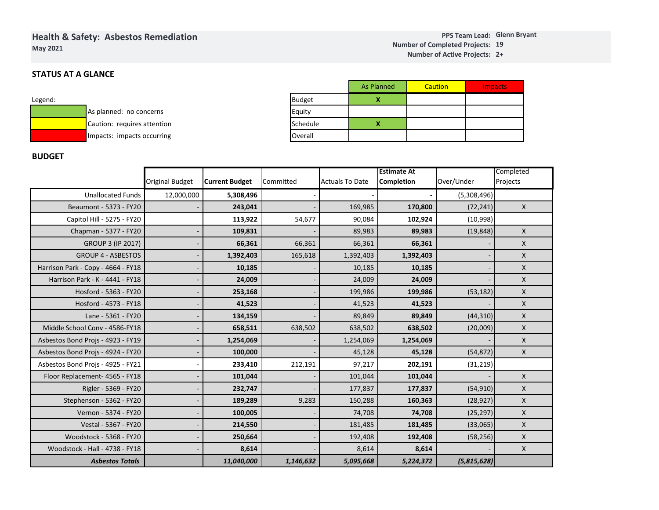# **Health & Safety: Asbestos RemediationMay 2021**

#### **Glenn BryantPPS Team Lead:19Number of Completed Projects: 2+ Number of Active Projects:**

## **STATUS AT A GLANCE**

| Legend: |                             |
|---------|-----------------------------|
|         | As planned: no concerns     |
|         | Caution: requires attention |
|         | Impacts: impacts occurring  |

|               | <b>As Planned</b> | <b>Caution</b> | <b>Impacts</b> |
|---------------|-------------------|----------------|----------------|
| <b>Budget</b> |                   |                |                |
| Equity        |                   |                |                |
| Schedule      |                   |                |                |
| Overall       |                   |                |                |

## **BUDGET**

|                                    |                        |                       |           |                        | <b>Estimate At</b> |               | Completed        |
|------------------------------------|------------------------|-----------------------|-----------|------------------------|--------------------|---------------|------------------|
|                                    | <b>Original Budget</b> | <b>Current Budget</b> | Committed | <b>Actuals To Date</b> | <b>Completion</b>  | Over/Under    | Projects         |
| <b>Unallocated Funds</b>           | 12,000,000             | 5,308,496             |           |                        |                    | (5,308,496)   |                  |
| Beaumont - 5373 - FY20             |                        | 243,041               |           | 169,985                | 170,800            | (72, 241)     | $\boldsymbol{X}$ |
| Capitol Hill - 5275 - FY20         |                        | 113,922               | 54,677    | 90,084                 | 102,924            | (10,998)      |                  |
| Chapman - 5377 - FY20              |                        | 109,831               |           | 89,983                 | 89,983             | (19, 848)     | $\mathsf{X}$     |
| <b>GROUP 3 (IP 2017)</b>           |                        | 66,361                | 66,361    | 66,361                 | 66,361             |               | X                |
| <b>GROUP 4 - ASBESTOS</b>          |                        | 1,392,403             | 165,618   | 1,392,403              | 1,392,403          |               | X                |
| Harrison Park - Copy - 4664 - FY18 |                        | 10,185                |           | 10,185                 | 10,185             |               | X                |
| Harrison Park - K - 4441 - FY18    |                        | 24,009                |           | 24,009                 | 24,009             |               | X                |
| Hosford - 5363 - FY20              |                        | 253,168               |           | 199,986                | 199,986            | (53, 182)     | X                |
| Hosford - 4573 - FY18              |                        | 41,523                |           | 41,523                 | 41,523             |               | X                |
| Lane - 5361 - FY20                 |                        | 134,159               |           | 89,849                 | 89,849             | (44, 310)     | X                |
| Middle School Conv - 4586-FY18     |                        | 658,511               | 638,502   | 638,502                | 638,502            | (20,009)      | X                |
| Asbestos Bond Projs - 4923 - FY19  |                        | 1,254,069             |           | 1,254,069              | 1,254,069          |               | X                |
| Asbestos Bond Projs - 4924 - FY20  |                        | 100,000               |           | 45,128                 | 45,128             | (54, 872)     | X                |
| Asbestos Bond Projs - 4925 - FY21  |                        | 233,410               | 212,191   | 97,217                 | 202,191            | (31, 219)     |                  |
| Floor Replacement- 4565 - FY18     |                        | 101,044               |           | 101,044                | 101,044            |               | X                |
| Rigler - 5369 - FY20               |                        | 232,747               |           | 177,837                | 177,837            | (54, 910)     | X                |
| Stephenson - 5362 - FY20           |                        | 189,289               | 9,283     | 150,288                | 160,363            | (28, 927)     | X                |
| Vernon - 5374 - FY20               |                        | 100,005               |           | 74,708                 | 74,708             | (25, 297)     | X                |
| Vestal - 5367 - FY20               |                        | 214,550               |           | 181,485                | 181,485            | (33,065)      | X                |
| Woodstock - 5368 - FY20            |                        | 250,664               |           | 192,408                | 192,408            | (58, 256)     | X                |
| Woodstock - Hall - 4738 - FY18     |                        | 8,614                 |           | 8,614                  | 8,614              |               | X                |
| <b>Asbestos Totals</b>             |                        | 11,040,000            | 1,146,632 | 5,095,668              | 5,224,372          | (5, 815, 628) |                  |